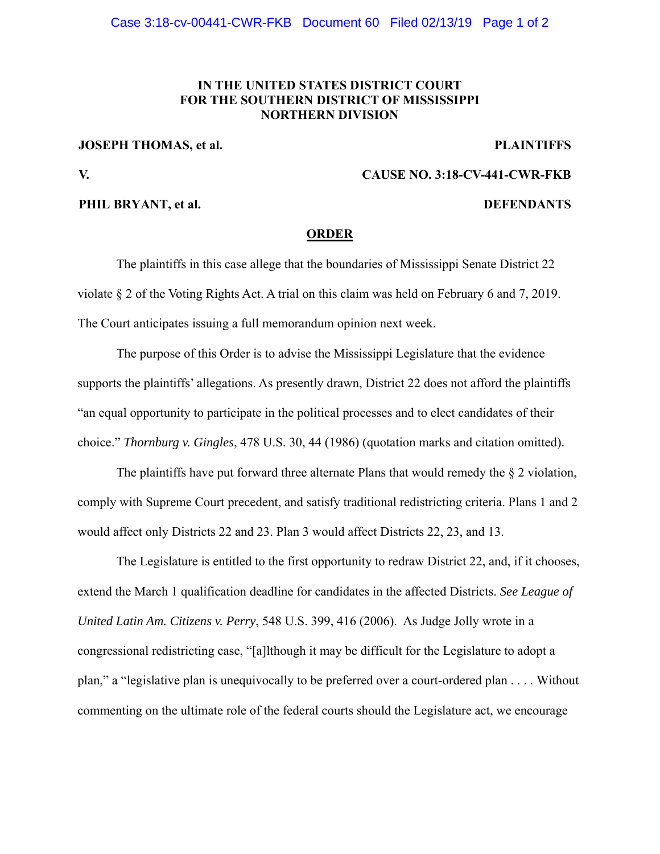## **IN THE UNITED STATES DISTRICT COURT FOR THE SOUTHERN DISTRICT OF MISSISSIPPI NORTHERN DIVISION**

**JOSEPH THOMAS, et al.** PLAINTIFFS

**V. CAUSE NO. 3:18-CV-441-CWR-FKB** 

### **PHIL BRYANT, et al. DEFENDANTS**

### **ORDER**

The plaintiffs in this case allege that the boundaries of Mississippi Senate District 22 violate § 2 of the Voting Rights Act. A trial on this claim was held on February 6 and 7, 2019. The Court anticipates issuing a full memorandum opinion next week.

The purpose of this Order is to advise the Mississippi Legislature that the evidence supports the plaintiffs' allegations. As presently drawn, District 22 does not afford the plaintiffs "an equal opportunity to participate in the political processes and to elect candidates of their choice." *Thornburg v. Gingles*, 478 U.S. 30, 44 (1986) (quotation marks and citation omitted).

The plaintiffs have put forward three alternate Plans that would remedy the  $\S 2$  violation, comply with Supreme Court precedent, and satisfy traditional redistricting criteria. Plans 1 and 2 would affect only Districts 22 and 23. Plan 3 would affect Districts 22, 23, and 13.

The Legislature is entitled to the first opportunity to redraw District 22, and, if it chooses, extend the March 1 qualification deadline for candidates in the affected Districts. *See League of United Latin Am. Citizens v. Perry*, 548 U.S. 399, 416 (2006). As Judge Jolly wrote in a congressional redistricting case, "[a]lthough it may be difficult for the Legislature to adopt a plan," a "legislative plan is unequivocally to be preferred over a court-ordered plan . . . . Without commenting on the ultimate role of the federal courts should the Legislature act, we encourage